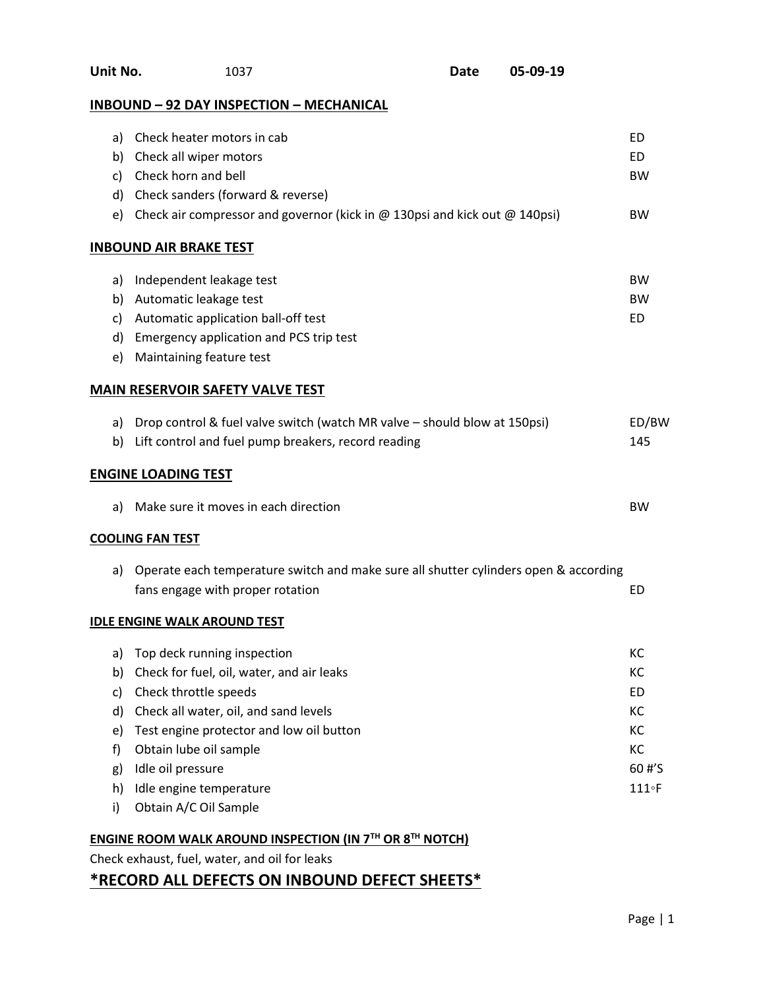| Unit No.<br>05-09-19<br><b>Date</b><br>1037 |                                                                                                                          |  |  |               |
|---------------------------------------------|--------------------------------------------------------------------------------------------------------------------------|--|--|---------------|
|                                             | <b>INBOUND - 92 DAY INSPECTION - MECHANICAL</b>                                                                          |  |  |               |
| a)                                          | Check heater motors in cab                                                                                               |  |  | ED            |
| b)                                          | Check all wiper motors                                                                                                   |  |  | ED            |
| c)                                          | Check horn and bell                                                                                                      |  |  | <b>BW</b>     |
| d)                                          | Check sanders (forward & reverse)                                                                                        |  |  |               |
| e)                                          | Check air compressor and governor (kick in $\omega$ 130psi and kick out $\omega$ 140psi)                                 |  |  | BW            |
|                                             | <b>INBOUND AIR BRAKE TEST</b>                                                                                            |  |  |               |
| a)                                          | Independent leakage test                                                                                                 |  |  | <b>BW</b>     |
| b)                                          | Automatic leakage test                                                                                                   |  |  | <b>BW</b>     |
| C)                                          | Automatic application ball-off test                                                                                      |  |  | ED            |
| d)                                          | Emergency application and PCS trip test                                                                                  |  |  |               |
| e)                                          | Maintaining feature test                                                                                                 |  |  |               |
|                                             | <b>MAIN RESERVOIR SAFETY VALVE TEST</b>                                                                                  |  |  |               |
| a)                                          | Drop control & fuel valve switch (watch MR valve - should blow at 150psi)                                                |  |  | ED/BW         |
| b)                                          | Lift control and fuel pump breakers, record reading                                                                      |  |  | 145           |
|                                             | <b>ENGINE LOADING TEST</b>                                                                                               |  |  |               |
| a)                                          | Make sure it moves in each direction                                                                                     |  |  | <b>BW</b>     |
|                                             | <b>COOLING FAN TEST</b>                                                                                                  |  |  |               |
| a)                                          | Operate each temperature switch and make sure all shutter cylinders open & according<br>fans engage with proper rotation |  |  | ED            |
|                                             | <b>IDLE ENGINE WALK AROUND TEST</b>                                                                                      |  |  |               |
| a)                                          | Top deck running inspection                                                                                              |  |  | КC            |
| b)                                          | Check for fuel, oil, water, and air leaks                                                                                |  |  | КC            |
| c)                                          | Check throttle speeds                                                                                                    |  |  | ED            |
| d)                                          | Check all water, oil, and sand levels                                                                                    |  |  | KC            |
| e)                                          | Test engine protector and low oil button                                                                                 |  |  | KC            |
| f)                                          | Obtain lube oil sample                                                                                                   |  |  | KC            |
| g)                                          | Idle oil pressure                                                                                                        |  |  | 60 #'S        |
| h)                                          | Idle engine temperature                                                                                                  |  |  | $111 \circ F$ |
| i)                                          | Obtain A/C Oil Sample                                                                                                    |  |  |               |
|                                             | ENGINE ROOM WALK AROUND INSPECTION (IN $7TH$ OR $8TH$ NOTCH)                                                             |  |  |               |
|                                             | Check exhaust, fuel, water, and oil for leaks                                                                            |  |  |               |
|                                             |                                                                                                                          |  |  |               |

# **\*RECORD ALL DEFECTS ON INBOUND DEFECT SHEETS\***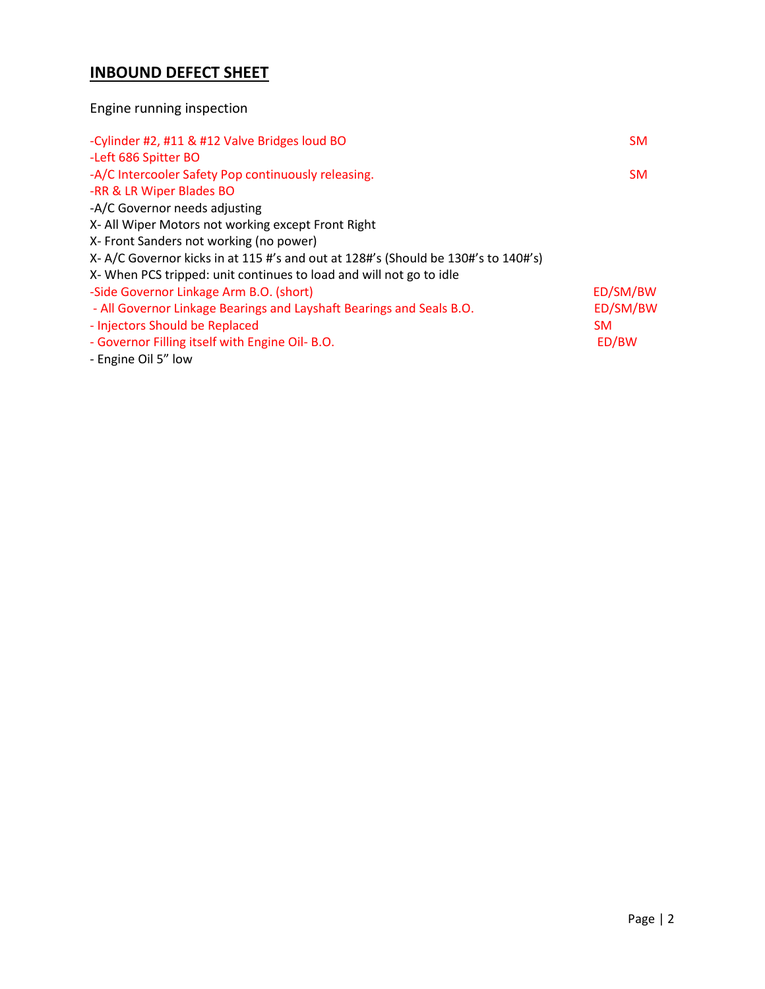# **INBOUND DEFECT SHEET**

# Engine running inspection

| -Left 686 Spitter BO<br>-A/C Intercooler Safety Pop continuously releasing.<br><b>SM</b> |
|------------------------------------------------------------------------------------------|
|                                                                                          |
|                                                                                          |
| -RR & LR Wiper Blades BO                                                                 |
| -A/C Governor needs adjusting                                                            |
| X- All Wiper Motors not working except Front Right                                       |
| X- Front Sanders not working (no power)                                                  |
| X- A/C Governor kicks in at 115 #'s and out at 128#'s (Should be 130#'s to 140#'s)       |
| X-When PCS tripped: unit continues to load and will not go to idle                       |
| ED/SM/BW<br>-Side Governor Linkage Arm B.O. (short)                                      |
| ED/SM/BW<br>- All Governor Linkage Bearings and Layshaft Bearings and Seals B.O.         |
| - Injectors Should be Replaced<br><b>SM</b>                                              |
| - Governor Filling itself with Engine Oil- B.O.<br>ED/BW                                 |
| - Engine Oil 5" low                                                                      |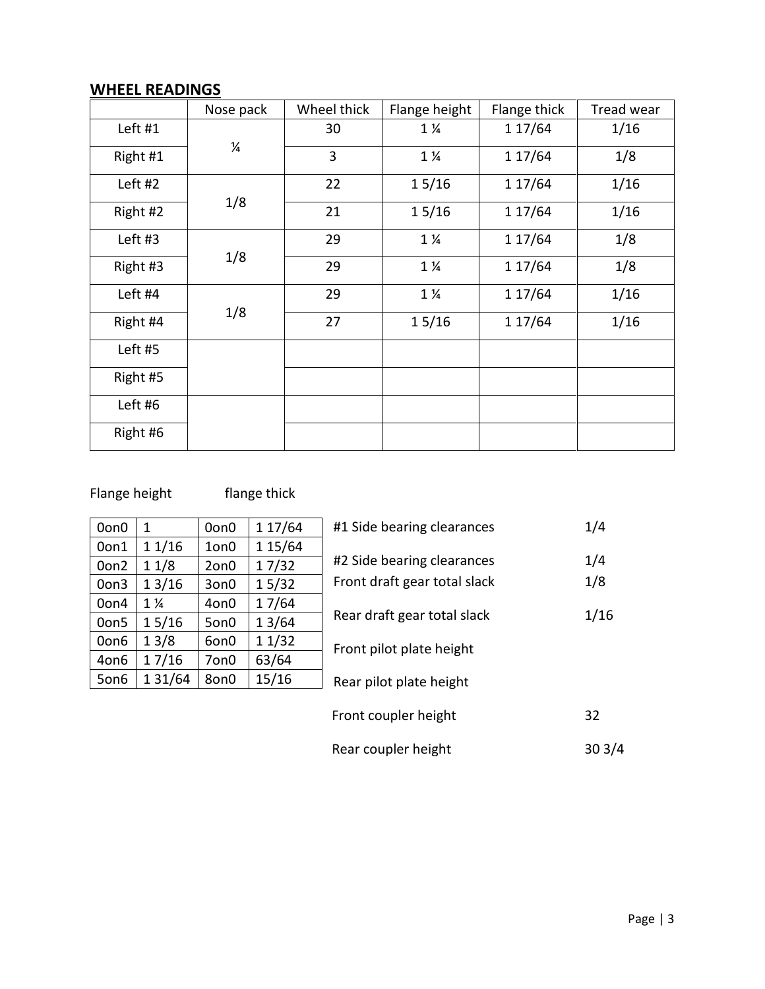# **WHEEL READINGS**

|          | Nose pack     | Wheel thick | Flange height  | Flange thick | Tread wear |
|----------|---------------|-------------|----------------|--------------|------------|
| Left #1  |               | 30          | $1\frac{1}{4}$ | 1 17/64      | 1/16       |
| Right #1 | $\frac{1}{4}$ | 3           | $1\frac{1}{4}$ | 1 17/64      | 1/8        |
| Left #2  |               | 22          | 15/16          | 1 17/64      | 1/16       |
| Right #2 | 1/8           | 21          | 15/16          | 1 17/64      | 1/16       |
| Left #3  |               | 29          | $1\frac{1}{4}$ | 1 17/64      | 1/8        |
| Right #3 | 1/8           | 29          | $1\frac{1}{4}$ | 1 17/64      | 1/8        |
| Left #4  |               | 29          | $1\frac{1}{4}$ | 1 17/64      | 1/16       |
| Right #4 | 1/8           | 27          | 15/16          | 1 17/64      | 1/16       |
| Left #5  |               |             |                |              |            |
| Right #5 |               |             |                |              |            |
| Left #6  |               |             |                |              |            |
| Right #6 |               |             |                |              |            |

# Flange height flange thick

| 0on0 | 1              | 0on0 | 1 17/64 |
|------|----------------|------|---------|
| 0on1 | 11/16          | 1on0 | 1 15/64 |
| Oon2 | 11/8           | 2on0 | 17/32   |
| Oon3 | 13/16          | 3on0 | 15/32   |
| 0on4 | $1\frac{1}{4}$ | 4on0 | 17/64   |
| Oon5 | 15/16          | 5on0 | 13/64   |
| Oon6 | 13/8           | 6on0 | 11/32   |
| 4on6 | 17/16          | 7on0 | 63/64   |
| 5on6 | 1 3 1/64       | 8on0 | 15/16   |

| #1 Side bearing clearances                                 | 1/4        |
|------------------------------------------------------------|------------|
| #2 Side bearing clearances<br>Front draft gear total slack | 1/4<br>1/8 |
| Rear draft gear total slack                                | 1/16       |
| Front pilot plate height                                   |            |
| Rear pilot plate height                                    |            |
| Front coupler height                                       | 32         |
| Rear coupler height                                        | 30 3       |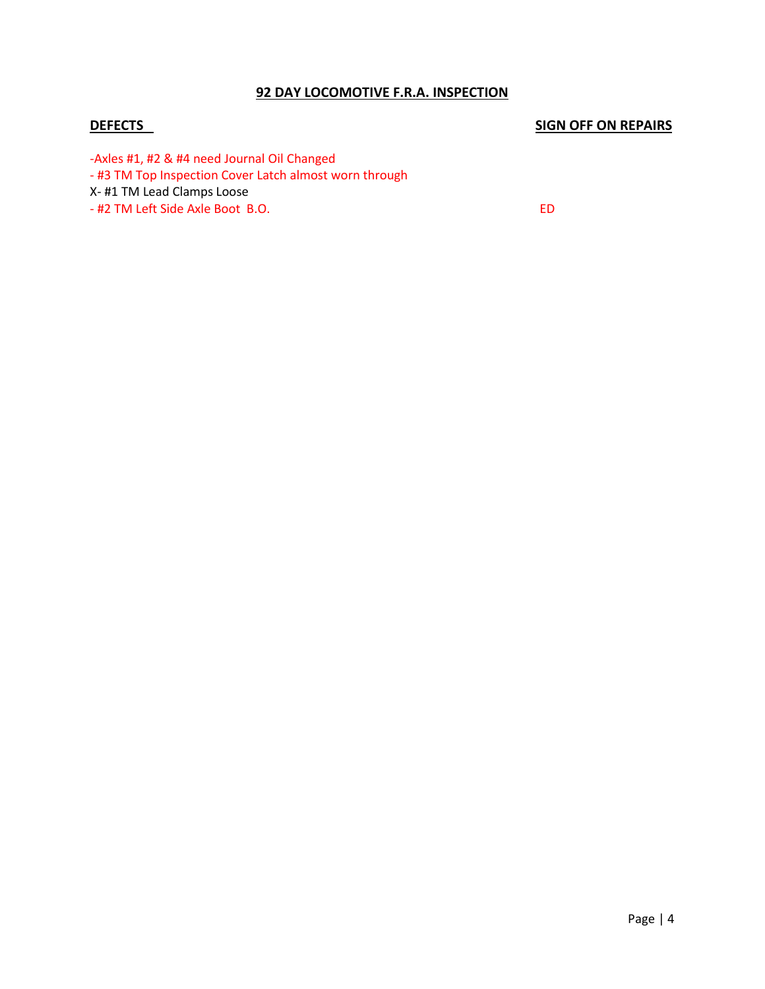#### **92 DAY LOCOMOTIVE F.R.A. INSPECTION**

# **DEFECTS SIGN OFF ON REPAIRS**

-Axles #1, #2 & #4 need Journal Oil Changed

- #3 TM Top Inspection Cover Latch almost worn through

X- #1 TM Lead Clamps Loose

- #2 TM Left Side Axle Boot B.O. ED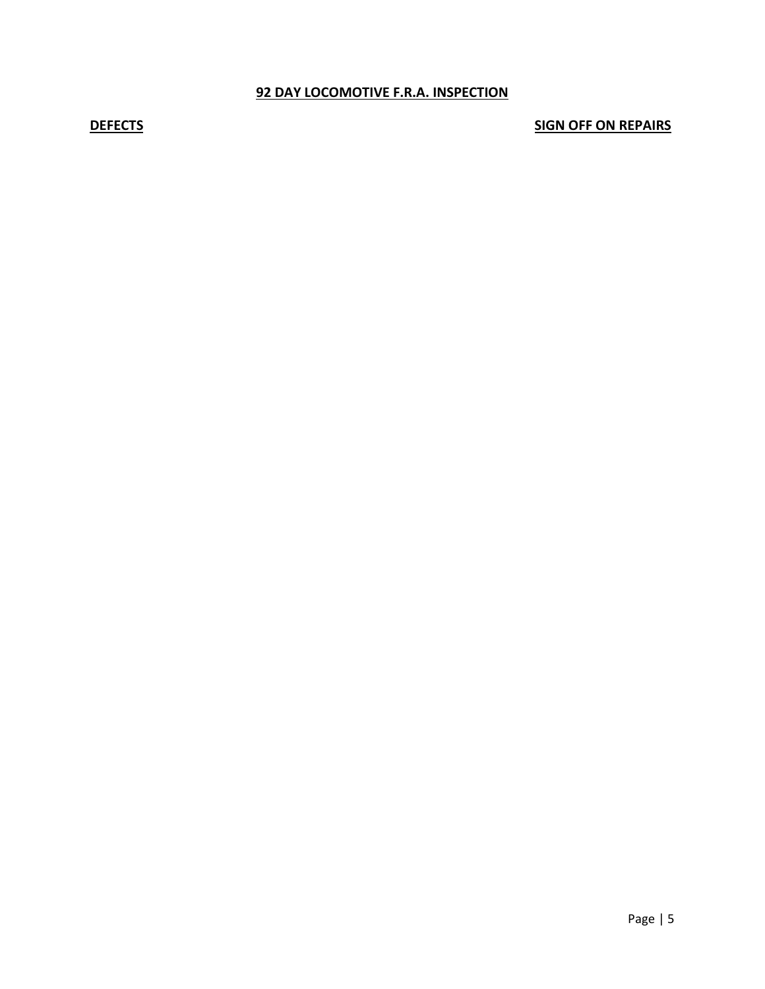## **92 DAY LOCOMOTIVE F.R.A. INSPECTION**

**DEFECTS** SIGN OFF ON REPAIRS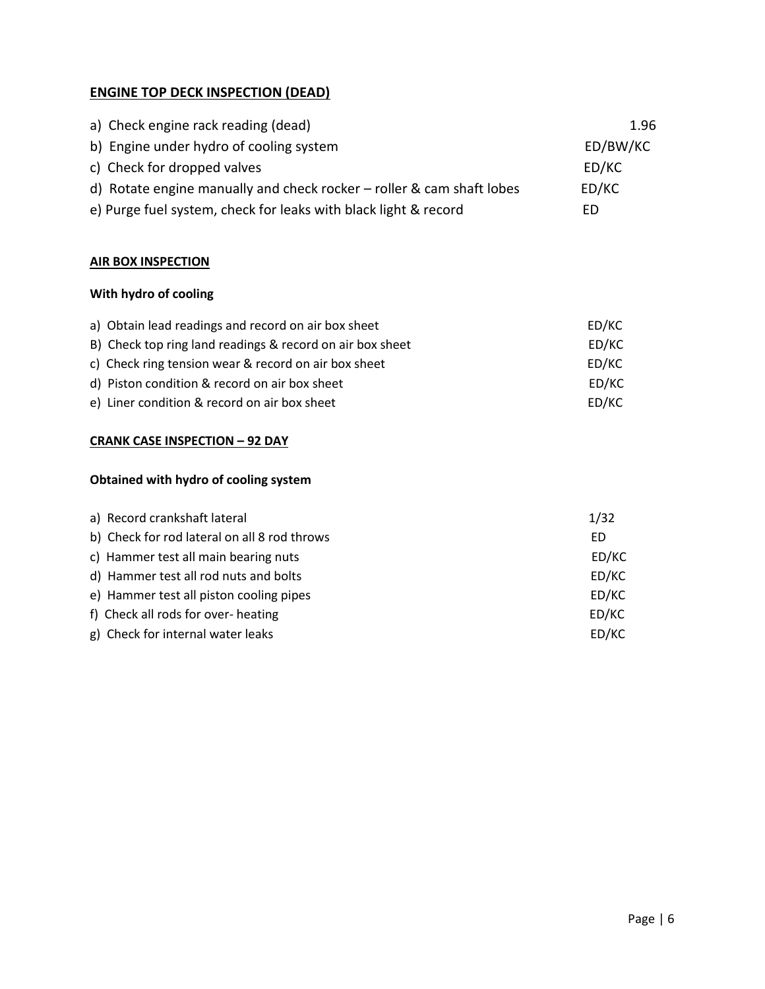# **ENGINE TOP DECK INSPECTION (DEAD)**

| a) Check engine rack reading (dead)                                   | 1.96     |
|-----------------------------------------------------------------------|----------|
| b) Engine under hydro of cooling system                               | ED/BW/KC |
| c) Check for dropped valves                                           | ED/KC    |
| d) Rotate engine manually and check rocker - roller & cam shaft lobes | ED/KC    |
| e) Purge fuel system, check for leaks with black light & record       | FD       |

# **AIR BOX INSPECTION**

# **With hydro of cooling**

| a) Obtain lead readings and record on air box sheet       | ED/KC |
|-----------------------------------------------------------|-------|
| B) Check top ring land readings & record on air box sheet | ED/KC |
| c) Check ring tension wear & record on air box sheet      | ED/KC |
| d) Piston condition & record on air box sheet             | ED/KC |
| e) Liner condition & record on air box sheet              | ED/KC |

# **CRANK CASE INSPECTION – 92 DAY**

# **Obtained with hydro of cooling system**

| a) Record crankshaft lateral                 | 1/32  |
|----------------------------------------------|-------|
| b) Check for rod lateral on all 8 rod throws | ED    |
| c) Hammer test all main bearing nuts         | ED/KC |
| d) Hammer test all rod nuts and bolts        | ED/KC |
| e) Hammer test all piston cooling pipes      | ED/KC |
| f) Check all rods for over- heating          | ED/KC |
| g) Check for internal water leaks            | ED/KC |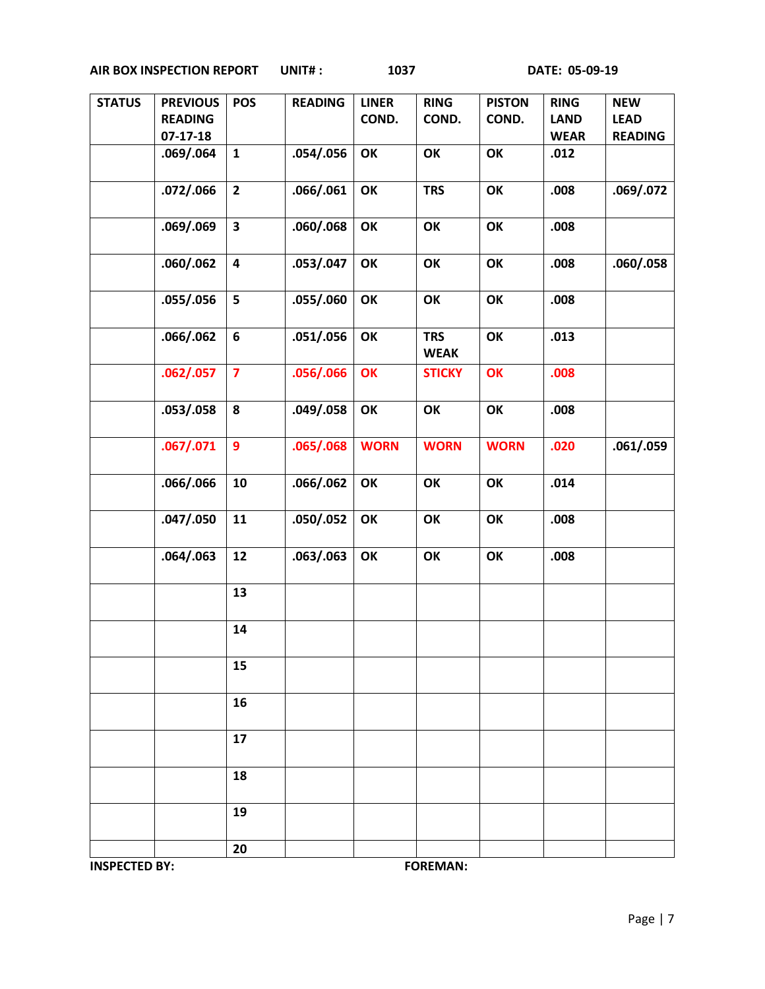| <b>STATUS</b> | <b>PREVIOUS</b> | <b>POS</b>              | <b>READING</b> | <b>LINER</b> | <b>RING</b>   | <b>PISTON</b> | <b>RING</b> | <b>NEW</b>     |
|---------------|-----------------|-------------------------|----------------|--------------|---------------|---------------|-------------|----------------|
|               | <b>READING</b>  |                         |                | COND.        | COND.         | COND.         | <b>LAND</b> | <b>LEAD</b>    |
|               | $07-17-18$      |                         |                |              |               |               | <b>WEAR</b> | <b>READING</b> |
|               | .069/.064       | ${\bf 1}$               | .054/.056      | OK           | OK            | OK            | .012        |                |
|               |                 |                         |                |              |               |               |             |                |
|               |                 |                         |                |              |               |               |             |                |
|               | .072/.066       | $\overline{2}$          | .066/.061      | OK           | <b>TRS</b>    | OK            | .008        | .069/.072      |
|               |                 |                         |                |              |               |               |             |                |
|               | .069/.069       | $\overline{\mathbf{3}}$ | .060/.068      | OK           | OK            | OK            | .008        |                |
|               |                 |                         |                |              |               |               |             |                |
|               |                 |                         |                |              |               |               |             |                |
|               | .060/.062       | $\overline{\mathbf{4}}$ | .053/.047      | OK           | OK            | OK            | .008        | .060/.058      |
|               |                 |                         |                |              |               |               |             |                |
|               | .055/.056       | 5                       | .055/.060      | OK           | OK            | OK            | .008        |                |
|               |                 |                         |                |              |               |               |             |                |
|               |                 |                         |                |              |               |               |             |                |
|               | .066/.062       | $\boldsymbol{6}$        | .051/.056      | OK           | <b>TRS</b>    | OK            | .013        |                |
|               |                 |                         |                |              | <b>WEAK</b>   |               |             |                |
|               | .062/.057       | $\overline{\mathbf{z}}$ | .056/.066      | OK           | <b>STICKY</b> | OK            | .008        |                |
|               |                 |                         |                |              |               |               |             |                |
|               |                 | 8                       |                |              |               | OK            |             |                |
|               | .053/.058       |                         | .049/.058      | OK           | OK            |               | .008        |                |
|               |                 |                         |                |              |               |               |             |                |
|               | .067/.071       | $\boldsymbol{9}$        | .065/.068      | <b>WORN</b>  | <b>WORN</b>   | <b>WORN</b>   | .020        | .061/.059      |
|               |                 |                         |                |              |               |               |             |                |
|               | .066/.066       | 10                      | .066/.062      | OK           | OK            | OK            | .014        |                |
|               |                 |                         |                |              |               |               |             |                |
|               |                 |                         |                |              |               |               |             |                |
|               | .047/.050       | 11                      | .050/.052      | OK           | OK            | OK            | .008        |                |
|               |                 |                         |                |              |               |               |             |                |
|               | .064/.063       | 12                      | .063/.063      | OK           | OK            | OK            | .008        |                |
|               |                 |                         |                |              |               |               |             |                |
|               |                 |                         |                |              |               |               |             |                |
|               |                 | 13                      |                |              |               |               |             |                |
|               |                 |                         |                |              |               |               |             |                |
|               |                 | 14                      |                |              |               |               |             |                |
|               |                 |                         |                |              |               |               |             |                |
|               |                 | 15                      |                |              |               |               |             |                |
|               |                 |                         |                |              |               |               |             |                |
|               |                 |                         |                |              |               |               |             |                |
|               |                 | 16                      |                |              |               |               |             |                |
|               |                 |                         |                |              |               |               |             |                |
|               |                 | 17                      |                |              |               |               |             |                |
|               |                 |                         |                |              |               |               |             |                |
|               |                 | 18                      |                |              |               |               |             |                |
|               |                 |                         |                |              |               |               |             |                |
|               |                 |                         |                |              |               |               |             |                |
|               |                 | 19                      |                |              |               |               |             |                |
|               |                 |                         |                |              |               |               |             |                |
|               |                 | 20                      |                |              |               |               |             |                |
|               |                 |                         |                |              |               |               |             |                |

**INSPECTED BY:** FOREMAN: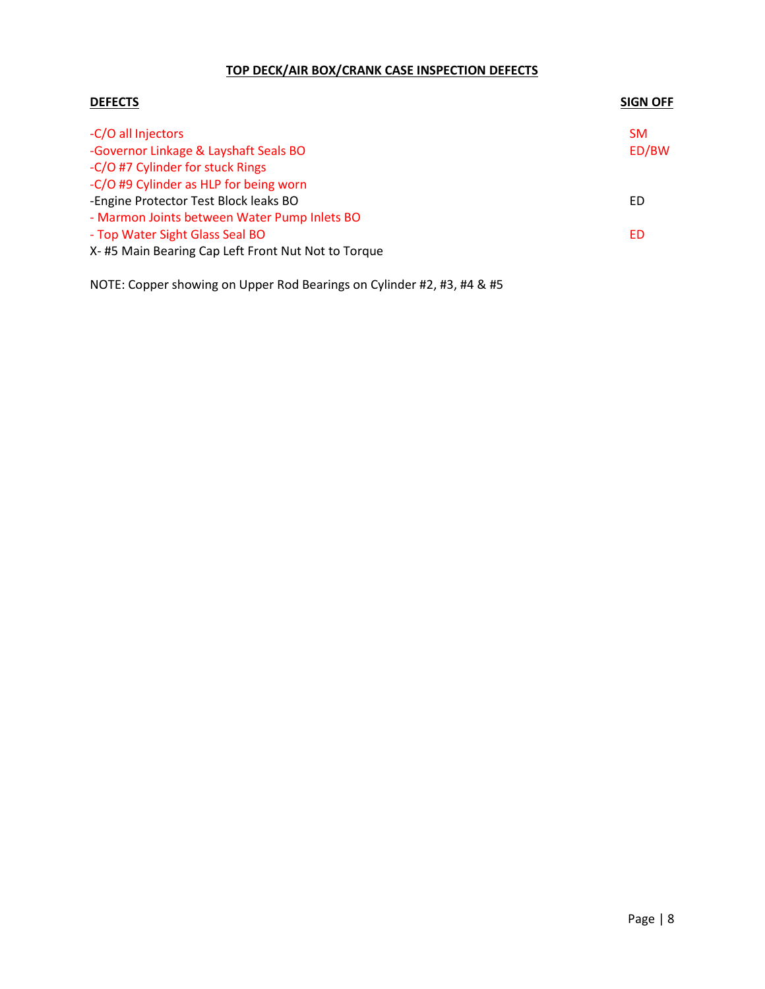# **TOP DECK/AIR BOX/CRANK CASE INSPECTION DEFECTS**

| <b>DEFECTS</b>                                     | <b>SIGN OFF</b> |
|----------------------------------------------------|-----------------|
| -C/O all Injectors                                 | <b>SM</b>       |
| -Governor Linkage & Layshaft Seals BO              | ED/BW           |
| -C/O #7 Cylinder for stuck Rings                   |                 |
| -C/O #9 Cylinder as HLP for being worn             |                 |
| -Engine Protector Test Block leaks BO              | ED              |
| - Marmon Joints between Water Pump Inlets BO       |                 |
| - Top Water Sight Glass Seal BO                    | ED              |
| X-#5 Main Bearing Cap Left Front Nut Not to Torque |                 |

NOTE: Copper showing on Upper Rod Bearings on Cylinder #2, #3, #4 & #5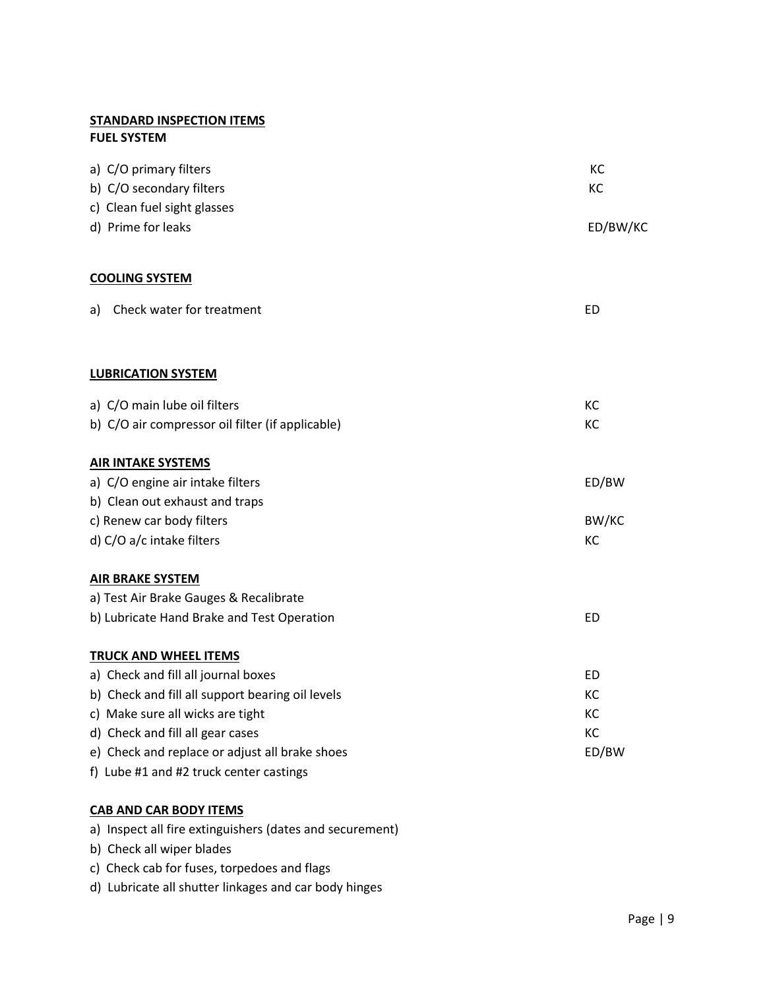## **STANDARD INSPECTION ITEMS FUEL SYSTEM**

| a) C/O primary filters<br>b) C/O secondary filters | KC<br>KC  |
|----------------------------------------------------|-----------|
| c) Clean fuel sight glasses<br>d) Prime for leaks  | ED/BW/KC  |
| <b>COOLING SYSTEM</b>                              |           |
| Check water for treatment<br>a)                    | <b>ED</b> |
| <b>LUBRICATION SYSTEM</b>                          |           |
| a) C/O main lube oil filters                       | KC        |
| b) C/O air compressor oil filter (if applicable)   | KC        |
| <b>AIR INTAKE SYSTEMS</b>                          |           |
| a) C/O engine air intake filters                   | ED/BW     |
| b) Clean out exhaust and traps                     |           |
| c) Renew car body filters                          | BW/KC     |
| d) C/O a/c intake filters                          | KC        |
| <b>AIR BRAKE SYSTEM</b>                            |           |
| a) Test Air Brake Gauges & Recalibrate             |           |
| b) Lubricate Hand Brake and Test Operation         | <b>ED</b> |
| <b>TRUCK AND WHEEL ITEMS</b>                       |           |
| a) Check and fill all journal boxes                | <b>ED</b> |
| b) Check and fill all support bearing oil levels   | KC        |
| c) Make sure all wicks are tight                   | KC        |
| d) Check and fill all gear cases                   | KC        |
| e) Check and replace or adjust all brake shoes     | ED/BW     |
| f) Lube #1 and #2 truck center castings            |           |

## **CAB AND CAR BODY ITEMS**

a) Inspect all fire extinguishers (dates and securement)

- b) Check all wiper blades
- c) Check cab for fuses, torpedoes and flags
- d) Lubricate all shutter linkages and car body hinges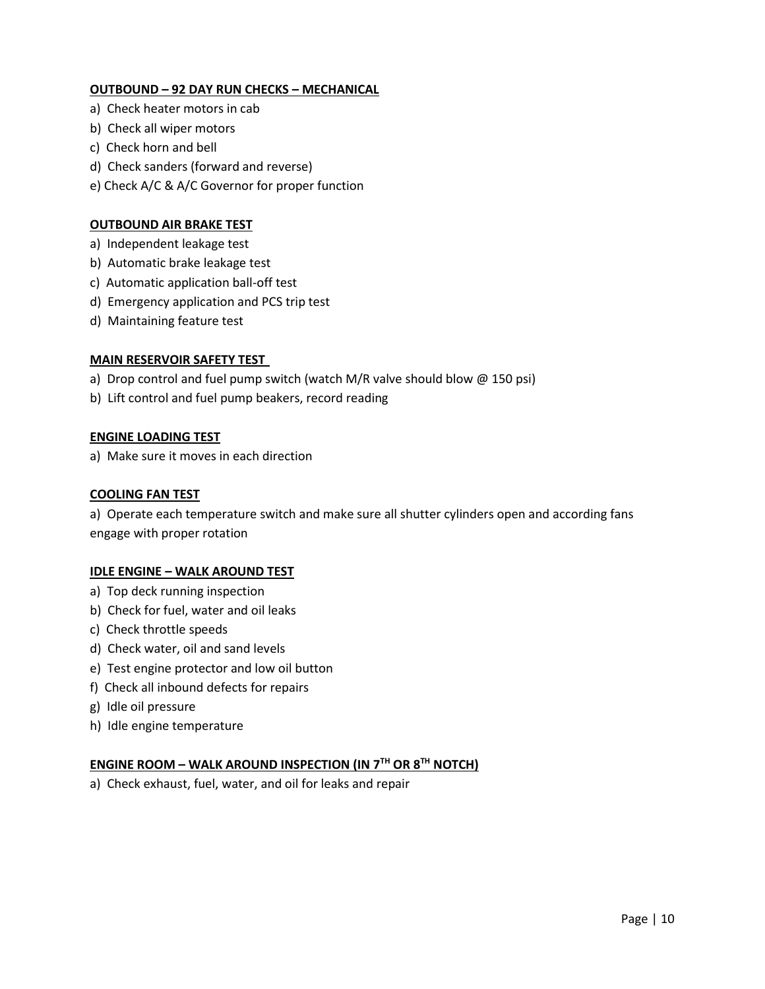## **OUTBOUND – 92 DAY RUN CHECKS – MECHANICAL**

- a) Check heater motors in cab
- b) Check all wiper motors
- c) Check horn and bell
- d) Check sanders (forward and reverse)
- e) Check A/C & A/C Governor for proper function

#### **OUTBOUND AIR BRAKE TEST**

- a) Independent leakage test
- b) Automatic brake leakage test
- c) Automatic application ball-off test
- d) Emergency application and PCS trip test
- d) Maintaining feature test

#### **MAIN RESERVOIR SAFETY TEST**

- a) Drop control and fuel pump switch (watch M/R valve should blow @ 150 psi)
- b) Lift control and fuel pump beakers, record reading

#### **ENGINE LOADING TEST**

a) Make sure it moves in each direction

#### **COOLING FAN TEST**

a) Operate each temperature switch and make sure all shutter cylinders open and according fans engage with proper rotation

#### **IDLE ENGINE – WALK AROUND TEST**

- a) Top deck running inspection
- b) Check for fuel, water and oil leaks
- c) Check throttle speeds
- d) Check water, oil and sand levels
- e) Test engine protector and low oil button
- f) Check all inbound defects for repairs
- g) Idle oil pressure
- h) Idle engine temperature

#### **ENGINE ROOM – WALK AROUND INSPECTION (IN 7TH OR 8TH NOTCH)**

a) Check exhaust, fuel, water, and oil for leaks and repair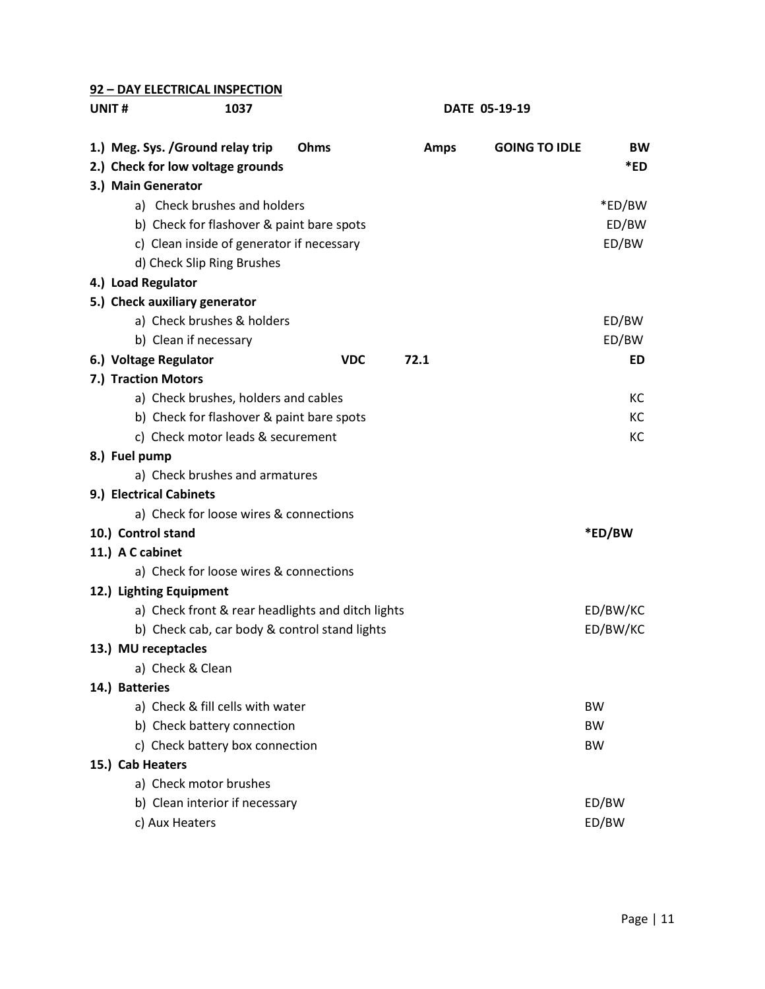### **92 – DAY ELECTRICAL INSPECTION**

**UNIT # 1037 DATE 05-19-19**

| 1.) Meg. Sys. / Ground relay trip                 | Ohms       | <b>Amps</b> | <b>GOING TO IDLE</b> | <b>BW</b> |
|---------------------------------------------------|------------|-------------|----------------------|-----------|
| 2.) Check for low voltage grounds                 |            |             |                      | *ED       |
| 3.) Main Generator                                |            |             |                      |           |
| a) Check brushes and holders                      |            |             |                      | *ED/BW    |
| b) Check for flashover & paint bare spots         |            |             |                      | ED/BW     |
| c) Clean inside of generator if necessary         |            |             |                      | ED/BW     |
| d) Check Slip Ring Brushes                        |            |             |                      |           |
| 4.) Load Regulator                                |            |             |                      |           |
| 5.) Check auxiliary generator                     |            |             |                      |           |
| a) Check brushes & holders                        |            |             |                      | ED/BW     |
| b) Clean if necessary                             |            |             |                      | ED/BW     |
| 6.) Voltage Regulator                             | <b>VDC</b> | 72.1        |                      | ED        |
| 7.) Traction Motors                               |            |             |                      |           |
| a) Check brushes, holders and cables              |            |             |                      | КC        |
| b) Check for flashover & paint bare spots         |            |             |                      | KC        |
| c) Check motor leads & securement                 |            |             |                      | KC        |
| 8.) Fuel pump                                     |            |             |                      |           |
| a) Check brushes and armatures                    |            |             |                      |           |
| 9.) Electrical Cabinets                           |            |             |                      |           |
| a) Check for loose wires & connections            |            |             |                      |           |
| 10.) Control stand                                |            |             |                      | *ED/BW    |
| 11.) A C cabinet                                  |            |             |                      |           |
| a) Check for loose wires & connections            |            |             |                      |           |
| 12.) Lighting Equipment                           |            |             |                      |           |
| a) Check front & rear headlights and ditch lights |            |             |                      | ED/BW/KC  |
| b) Check cab, car body & control stand lights     |            |             |                      | ED/BW/KC  |
| 13.) MU receptacles                               |            |             |                      |           |
| a) Check & Clean                                  |            |             |                      |           |
| 14.) Batteries                                    |            |             |                      |           |
| a) Check & fill cells with water                  |            |             |                      | <b>BW</b> |
| b) Check battery connection                       |            |             |                      | <b>BW</b> |
| c) Check battery box connection                   |            |             |                      | <b>BW</b> |
| 15.) Cab Heaters                                  |            |             |                      |           |
| a) Check motor brushes                            |            |             |                      |           |
| b) Clean interior if necessary                    |            |             |                      | ED/BW     |
| c) Aux Heaters                                    |            |             |                      | ED/BW     |